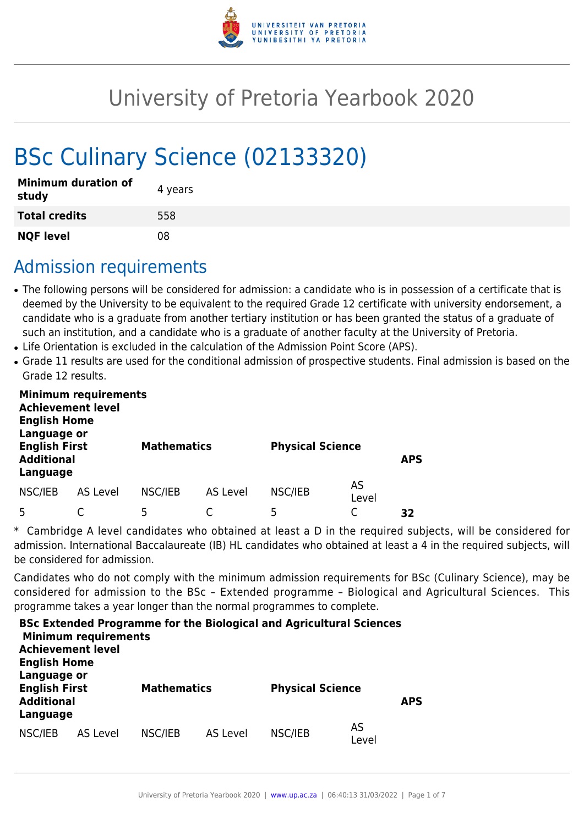

# University of Pretoria Yearbook 2020

# BSc Culinary Science (02133320)

| <b>Minimum duration of</b><br>study | 4 years |
|-------------------------------------|---------|
| <b>Total credits</b>                | 558     |
| <b>NQF level</b>                    | 08      |

# Admission requirements

- The following persons will be considered for admission: a candidate who is in possession of a certificate that is deemed by the University to be equivalent to the required Grade 12 certificate with university endorsement, a candidate who is a graduate from another tertiary institution or has been granted the status of a graduate of such an institution, and a candidate who is a graduate of another faculty at the University of Pretoria.
- Life Orientation is excluded in the calculation of the Admission Point Score (APS).
- Grade 11 results are used for the conditional admission of prospective students. Final admission is based on the Grade 12 results.

| <b>Minimum requirements</b><br><b>Achievement level</b><br><b>English Home</b><br>Language or |          |                    |          |                         |             |            |  |  |  |  |  |
|-----------------------------------------------------------------------------------------------|----------|--------------------|----------|-------------------------|-------------|------------|--|--|--|--|--|
| <b>English First</b><br><b>Additional</b><br>Language                                         |          | <b>Mathematics</b> |          | <b>Physical Science</b> |             | <b>APS</b> |  |  |  |  |  |
| NSC/IEB                                                                                       | AS Level | NSC/IEB            | AS Level | NSC/IEB                 | AS<br>Level |            |  |  |  |  |  |
|                                                                                               |          | 5                  |          | 5                       |             | 32         |  |  |  |  |  |

\* Cambridge A level candidates who obtained at least a D in the required subjects, will be considered for admission. International Baccalaureate (IB) HL candidates who obtained at least a 4 in the required subjects, will be considered for admission.

Candidates who do not comply with the minimum admission requirements for BSc (Culinary Science), may be considered for admission to the BSc – Extended programme – Biological and Agricultural Sciences. This programme takes a year longer than the normal programmes to complete.

| <b>English Home</b>                                                  | <b>Minimum requirements</b><br><b>Achievement level</b> |                    |          | <b>BSc Extended Programme for the Biological and Agricultural Sciences</b> |             |            |
|----------------------------------------------------------------------|---------------------------------------------------------|--------------------|----------|----------------------------------------------------------------------------|-------------|------------|
| Language or<br><b>English First</b><br><b>Additional</b><br>Language |                                                         | <b>Mathematics</b> |          | <b>Physical Science</b>                                                    |             | <b>APS</b> |
| NSC/IEB                                                              | AS Level                                                | NSC/IEB            | AS Level | NSC/IEB                                                                    | AS<br>Level |            |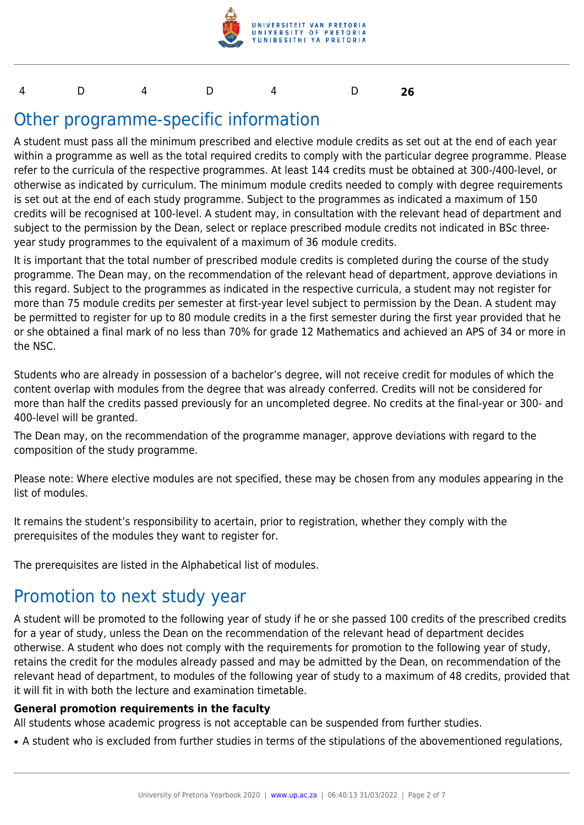

#### 4 D 4 D 4 D **26**

# Other programme-specific information

A student must pass all the minimum prescribed and elective module credits as set out at the end of each year within a programme as well as the total required credits to comply with the particular degree programme. Please refer to the curricula of the respective programmes. At least 144 credits must be obtained at 300-/400-level, or otherwise as indicated by curriculum. The minimum module credits needed to comply with degree requirements is set out at the end of each study programme. Subject to the programmes as indicated a maximum of 150 credits will be recognised at 100-level. A student may, in consultation with the relevant head of department and subject to the permission by the Dean, select or replace prescribed module credits not indicated in BSc threeyear study programmes to the equivalent of a maximum of 36 module credits.

It is important that the total number of prescribed module credits is completed during the course of the study programme. The Dean may, on the recommendation of the relevant head of department, approve deviations in this regard. Subject to the programmes as indicated in the respective curricula, a student may not register for more than 75 module credits per semester at first-year level subject to permission by the Dean. A student may be permitted to register for up to 80 module credits in a the first semester during the first year provided that he or she obtained a final mark of no less than 70% for grade 12 Mathematics and achieved an APS of 34 or more in the NSC.

Students who are already in possession of a bachelor's degree, will not receive credit for modules of which the content overlap with modules from the degree that was already conferred. Credits will not be considered for more than half the credits passed previously for an uncompleted degree. No credits at the final-year or 300- and 400-level will be granted.

The Dean may, on the recommendation of the programme manager, approve deviations with regard to the composition of the study programme.

Please note: Where elective modules are not specified, these may be chosen from any modules appearing in the list of modules.

It remains the student's responsibility to acertain, prior to registration, whether they comply with the prerequisites of the modules they want to register for.

The prerequisites are listed in the Alphabetical list of modules.

## Promotion to next study year

A student will be promoted to the following year of study if he or she passed 100 credits of the prescribed credits for a year of study, unless the Dean on the recommendation of the relevant head of department decides otherwise. A student who does not comply with the requirements for promotion to the following year of study, retains the credit for the modules already passed and may be admitted by the Dean, on recommendation of the relevant head of department, to modules of the following year of study to a maximum of 48 credits, provided that it will fit in with both the lecture and examination timetable.

#### **General promotion requirements in the faculty**

All students whose academic progress is not acceptable can be suspended from further studies.

• A student who is excluded from further studies in terms of the stipulations of the abovementioned regulations,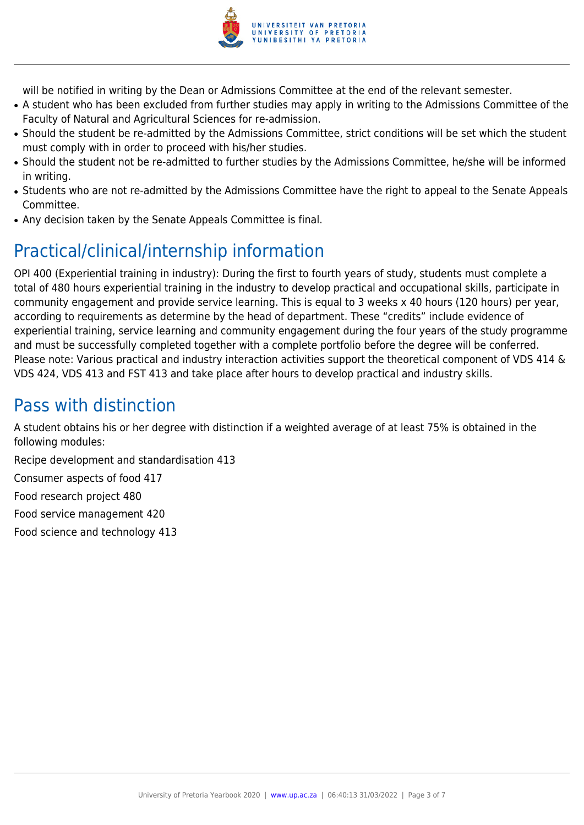

will be notified in writing by the Dean or Admissions Committee at the end of the relevant semester.

- A student who has been excluded from further studies may apply in writing to the Admissions Committee of the Faculty of Natural and Agricultural Sciences for re-admission.
- Should the student be re-admitted by the Admissions Committee, strict conditions will be set which the student must comply with in order to proceed with his/her studies.
- Should the student not be re-admitted to further studies by the Admissions Committee, he/she will be informed in writing.
- Students who are not re-admitted by the Admissions Committee have the right to appeal to the Senate Appeals Committee.
- Any decision taken by the Senate Appeals Committee is final.

# Practical/clinical/internship information

OPI 400 (Experiential training in industry): During the first to fourth years of study, students must complete a total of 480 hours experiential training in the industry to develop practical and occupational skills, participate in community engagement and provide service learning. This is equal to 3 weeks x 40 hours (120 hours) per year, according to requirements as determine by the head of department. These "credits" include evidence of experiential training, service learning and community engagement during the four years of the study programme and must be successfully completed together with a complete portfolio before the degree will be conferred. Please note: Various practical and industry interaction activities support the theoretical component of VDS 414 & VDS 424, VDS 413 and FST 413 and take place after hours to develop practical and industry skills.

# Pass with distinction

A student obtains his or her degree with distinction if a weighted average of at least 75% is obtained in the following modules:

Recipe development and standardisation 413

Consumer aspects of food 417

Food research project 480

Food service management 420

Food science and technology 413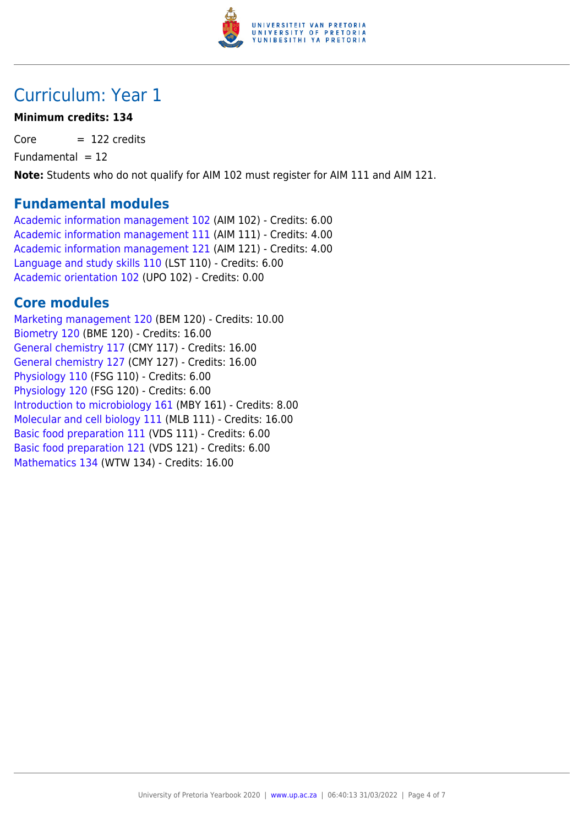

## Curriculum: Year 1

### **Minimum credits: 134**

 $Core = 122$  credits

 $Fundamental = 12$ 

**Note:** Students who do not qualify for AIM 102 must register for AIM 111 and AIM 121.

### **Fundamental modules**

[Academic information management 102](https://www.up.ac.za/yearbooks/2020/modules/view/AIM 102) (AIM 102) - Credits: 6.00 [Academic information management 111](https://www.up.ac.za/yearbooks/2020/modules/view/AIM 111) (AIM 111) - Credits: 4.00 [Academic information management 121](https://www.up.ac.za/yearbooks/2020/modules/view/AIM 121) (AIM 121) - Credits: 4.00 [Language and study skills 110](https://www.up.ac.za/yearbooks/2020/modules/view/LST 110) (LST 110) - Credits: 6.00 [Academic orientation 102](https://www.up.ac.za/yearbooks/2020/modules/view/UPO 102) (UPO 102) - Credits: 0.00

### **Core modules**

[Marketing management 120](https://www.up.ac.za/yearbooks/2020/modules/view/BEM 120) (BEM 120) - Credits: 10.00 [Biometry 120](https://www.up.ac.za/yearbooks/2020/modules/view/BME 120) (BME 120) - Credits: 16.00 [General chemistry 117](https://www.up.ac.za/yearbooks/2020/modules/view/CMY 117) (CMY 117) - Credits: 16.00 [General chemistry 127](https://www.up.ac.za/yearbooks/2020/modules/view/CMY 127) (CMY 127) - Credits: 16.00 [Physiology 110](https://www.up.ac.za/yearbooks/2020/modules/view/FSG 110) (FSG 110) - Credits: 6.00 [Physiology 120](https://www.up.ac.za/yearbooks/2020/modules/view/FSG 120) (FSG 120) - Credits: 6.00 [Introduction to microbiology 161](https://www.up.ac.za/yearbooks/2020/modules/view/MBY 161) (MBY 161) - Credits: 8.00 [Molecular and cell biology 111](https://www.up.ac.za/yearbooks/2020/modules/view/MLB 111) (MLB 111) - Credits: 16.00 [Basic food preparation 111](https://www.up.ac.za/yearbooks/2020/modules/view/VDS 111) (VDS 111) - Credits: 6.00 [Basic food preparation 121](https://www.up.ac.za/yearbooks/2020/modules/view/VDS 121) (VDS 121) - Credits: 6.00 [Mathematics 134](https://www.up.ac.za/yearbooks/2020/modules/view/WTW 134) (WTW 134) - Credits: 16.00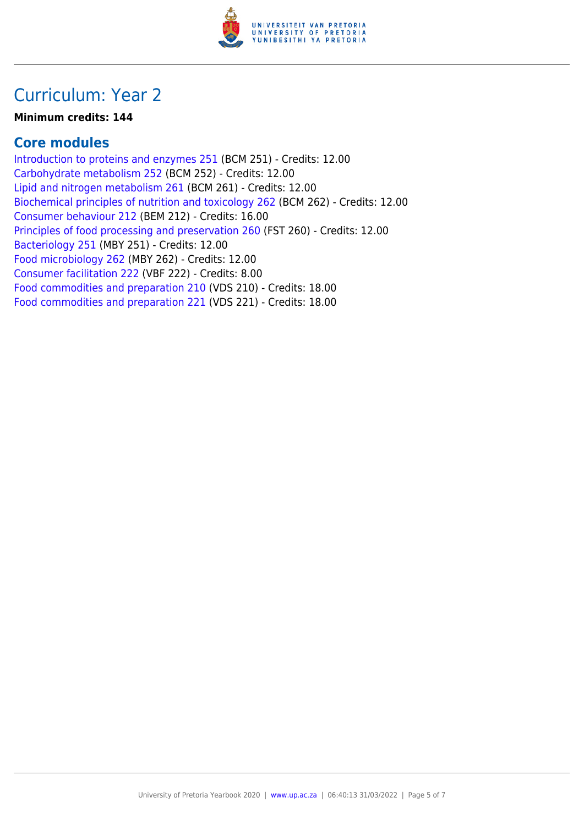

## Curriculum: Year 2

#### **Minimum credits: 144**

### **Core modules**

[Introduction to proteins and enzymes 251](https://www.up.ac.za/yearbooks/2020/modules/view/BCM 251) (BCM 251) - Credits: 12.00 [Carbohydrate metabolism 252](https://www.up.ac.za/yearbooks/2020/modules/view/BCM 252) (BCM 252) - Credits: 12.00 [Lipid and nitrogen metabolism 261](https://www.up.ac.za/yearbooks/2020/modules/view/BCM 261) (BCM 261) - Credits: 12.00 [Biochemical principles of nutrition and toxicology 262](https://www.up.ac.za/yearbooks/2020/modules/view/BCM 262) (BCM 262) - Credits: 12.00 [Consumer behaviour 212](https://www.up.ac.za/yearbooks/2020/modules/view/BEM 212) (BEM 212) - Credits: 16.00 [Principles of food processing and preservation 260](https://www.up.ac.za/yearbooks/2020/modules/view/FST 260) (FST 260) - Credits: 12.00 [Bacteriology 251](https://www.up.ac.za/yearbooks/2020/modules/view/MBY 251) (MBY 251) - Credits: 12.00 [Food microbiology 262](https://www.up.ac.za/yearbooks/2020/modules/view/MBY 262) (MBY 262) - Credits: 12.00 [Consumer facilitation 222](https://www.up.ac.za/yearbooks/2020/modules/view/VBF 222) (VBF 222) - Credits: 8.00 [Food commodities and preparation 210](https://www.up.ac.za/yearbooks/2020/modules/view/VDS 210) (VDS 210) - Credits: 18.00 [Food commodities and preparation 221](https://www.up.ac.za/yearbooks/2020/modules/view/VDS 221) (VDS 221) - Credits: 18.00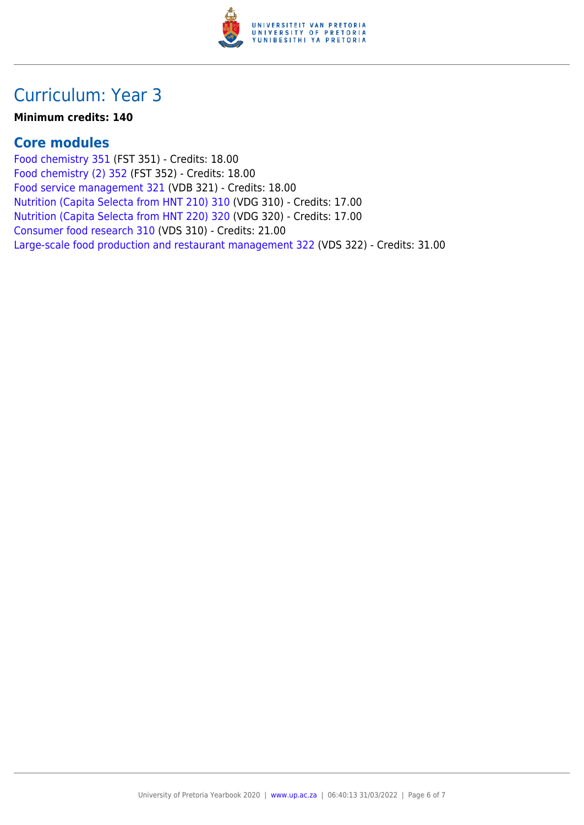

## Curriculum: Year 3

#### **Minimum credits: 140**

### **Core modules**

[Food chemistry 351](https://www.up.ac.za/yearbooks/2020/modules/view/FST 351) (FST 351) - Credits: 18.00 [Food chemistry \(2\) 352](https://www.up.ac.za/yearbooks/2020/modules/view/FST 352) (FST 352) - Credits: 18.00 [Food service management 321](https://www.up.ac.za/yearbooks/2020/modules/view/VDB 321) (VDB 321) - Credits: 18.00 [Nutrition \(Capita Selecta from HNT 210\) 310](https://www.up.ac.za/yearbooks/2020/modules/view/VDG 310) (VDG 310) - Credits: 17.00 [Nutrition \(Capita Selecta from HNT 220\) 320](https://www.up.ac.za/yearbooks/2020/modules/view/VDG 320) (VDG 320) - Credits: 17.00 [Consumer food research 310](https://www.up.ac.za/yearbooks/2020/modules/view/VDS 310) (VDS 310) - Credits: 21.00 [Large-scale food production and restaurant management 322](https://www.up.ac.za/yearbooks/2020/modules/view/VDS 322) (VDS 322) - Credits: 31.00